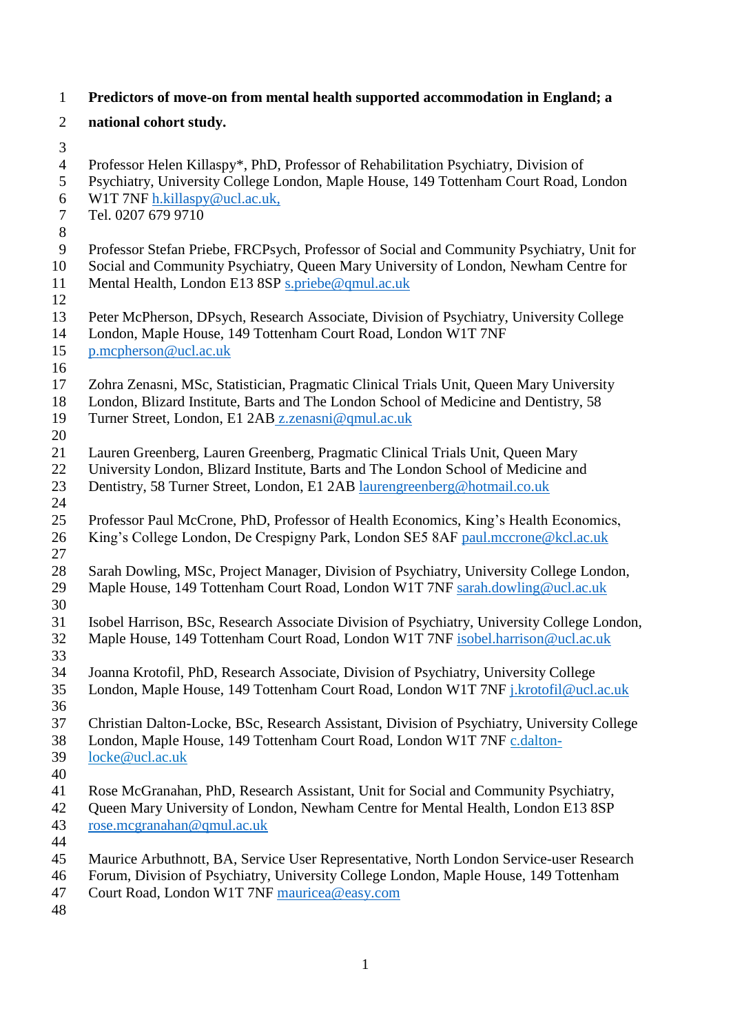| $\mathbf{1}$   | Predictors of move-on from mental health supported accommodation in England; a                                                                                         |
|----------------|------------------------------------------------------------------------------------------------------------------------------------------------------------------------|
| $\overline{2}$ | national cohort study.                                                                                                                                                 |
| 3              |                                                                                                                                                                        |
| $\overline{4}$ | Professor Helen Killaspy*, PhD, Professor of Rehabilitation Psychiatry, Division of                                                                                    |
| 5              | Psychiatry, University College London, Maple House, 149 Tottenham Court Road, London                                                                                   |
| 6              | W1T 7NF h.killaspy@ucl.ac.uk,                                                                                                                                          |
| $\tau$         | Tel. 0207 679 9710                                                                                                                                                     |
| $8\,$          |                                                                                                                                                                        |
| 9              | Professor Stefan Priebe, FRCPsych, Professor of Social and Community Psychiatry, Unit for                                                                              |
| 10             | Social and Community Psychiatry, Queen Mary University of London, Newham Centre for                                                                                    |
| 11             | Mental Health, London E13 8SP s.priebe@qmul.ac.uk                                                                                                                      |
| 12             |                                                                                                                                                                        |
| 13             | Peter McPherson, DPsych, Research Associate, Division of Psychiatry, University College                                                                                |
| 14<br>15       | London, Maple House, 149 Tottenham Court Road, London W1T 7NF<br>p.mcpherson@ucl.ac.uk                                                                                 |
| 16             |                                                                                                                                                                        |
| 17             | Zohra Zenasni, MSc, Statistician, Pragmatic Clinical Trials Unit, Queen Mary University                                                                                |
| 18             | London, Blizard Institute, Barts and The London School of Medicine and Dentistry, 58                                                                                   |
| 19             | Turner Street, London, E1 2AB z.zenasni@qmul.ac.uk                                                                                                                     |
| 20             |                                                                                                                                                                        |
| 21             | Lauren Greenberg, Lauren Greenberg, Pragmatic Clinical Trials Unit, Queen Mary                                                                                         |
| 22             | University London, Blizard Institute, Barts and The London School of Medicine and                                                                                      |
| 23             | Dentistry, 58 Turner Street, London, E1 2AB laurengreenberg@hotmail.co.uk                                                                                              |
| 24             |                                                                                                                                                                        |
| 25             | Professor Paul McCrone, PhD, Professor of Health Economics, King's Health Economics,                                                                                   |
| 26             | King's College London, De Crespigny Park, London SE5 8AF paul.mccrone@kcl.ac.uk                                                                                        |
| 27             |                                                                                                                                                                        |
| 28             | Sarah Dowling, MSc, Project Manager, Division of Psychiatry, University College London,                                                                                |
| 29             | Maple House, 149 Tottenham Court Road, London W1T 7NF sarah.dowling@ucl.ac.uk                                                                                          |
| 30             |                                                                                                                                                                        |
| 31             | Isobel Harrison, BSc, Research Associate Division of Psychiatry, University College London,                                                                            |
| 32             | Maple House, 149 Tottenham Court Road, London W1T 7NF isobel.harrison@ucl.ac.uk                                                                                        |
| 33             |                                                                                                                                                                        |
| 34             | Joanna Krotofil, PhD, Research Associate, Division of Psychiatry, University College                                                                                   |
| 35             | London, Maple House, 149 Tottenham Court Road, London W1T 7NF j.krotofil@ucl.ac.uk                                                                                     |
| 36             |                                                                                                                                                                        |
| 37<br>38       | Christian Dalton-Locke, BSc, Research Assistant, Division of Psychiatry, University College<br>London, Maple House, 149 Tottenham Court Road, London W1T 7NF c.dalton- |
| 39             | locke@ucl.ac.uk                                                                                                                                                        |
| 40             |                                                                                                                                                                        |
| 41             | Rose McGranahan, PhD, Research Assistant, Unit for Social and Community Psychiatry,                                                                                    |
| 42             | Queen Mary University of London, Newham Centre for Mental Health, London E13 8SP                                                                                       |
| 43             | rose.mcgranahan@qmul.ac.uk                                                                                                                                             |
| 44             |                                                                                                                                                                        |
| 45             | Maurice Arbuthnott, BA, Service User Representative, North London Service-user Research                                                                                |
| 46             | Forum, Division of Psychiatry, University College London, Maple House, 149 Tottenham                                                                                   |
| 47             | Court Road, London W1T 7NF mauricea@easy.com                                                                                                                           |
| 48             |                                                                                                                                                                        |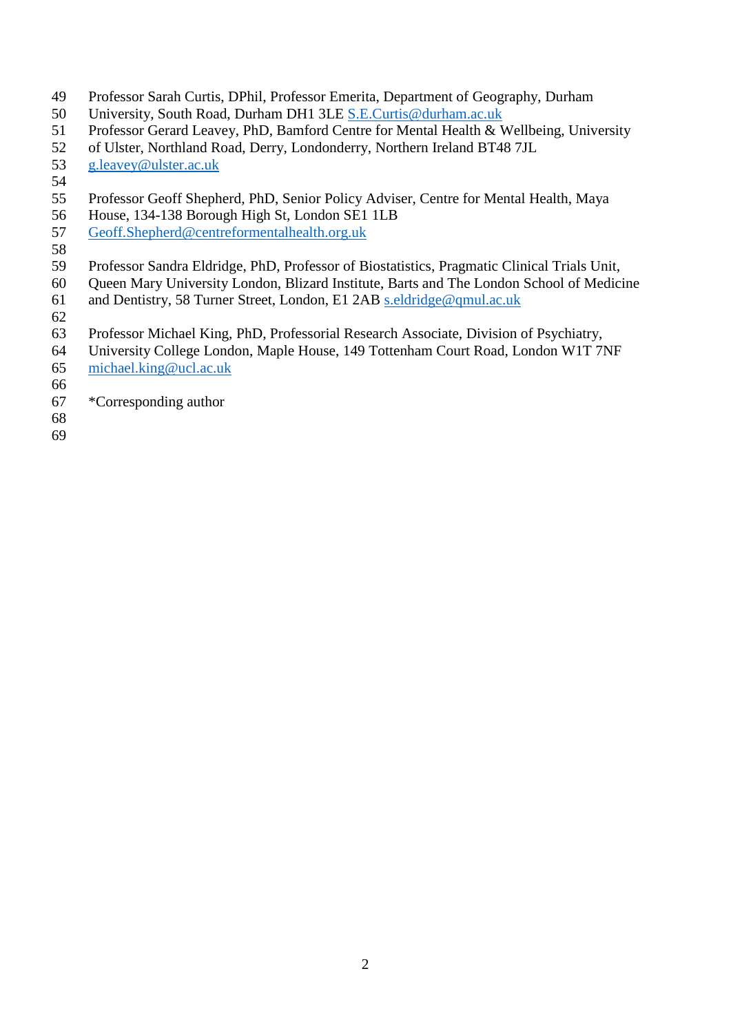- Professor Sarah Curtis, DPhil, Professor Emerita, Department of Geography, Durham
- University, South Road, Durham DH1 3LE [S.E.Curtis@durham.ac.uk](mailto:S.E.Curtis@durham.ac.uk)
- Professor Gerard Leavey, PhD, Bamford Centre for Mental Health & Wellbeing, University
- of Ulster, Northland Road, Derry, Londonderry, Northern Ireland BT48 7JL
- [g.leavey@ulster.ac.uk](mailto:g.leavey@ulster.ac.uk)
- 
- Professor Geoff Shepherd, PhD, Senior Policy Adviser, Centre for Mental Health, Maya
- House, 134-138 Borough High St, London SE1 1LB
- [Geoff.Shepherd@centreformentalhealth.org.uk](mailto:Geoff.Shepherd@centreformentalhealth.org.uk)
- 
- Professor Sandra Eldridge, PhD, Professor of Biostatistics, Pragmatic Clinical Trials Unit,
- Queen Mary University London, Blizard Institute, Barts and The London School of Medicine
- and Dentistry, 58 Turner Street, London, E1 2AB [s.eldridge@qmul.ac.uk](mailto:s.eldridge@qmul.ac.uk)
- Professor Michael King, PhD, Professorial Research Associate, Division of Psychiatry,
- University College London, Maple House, 149 Tottenham Court Road, London W1T 7NF
- [michael.king@ucl.ac.uk](mailto:michael.king@ucl.ac.uk)
- 
- \*Corresponding author
- 
-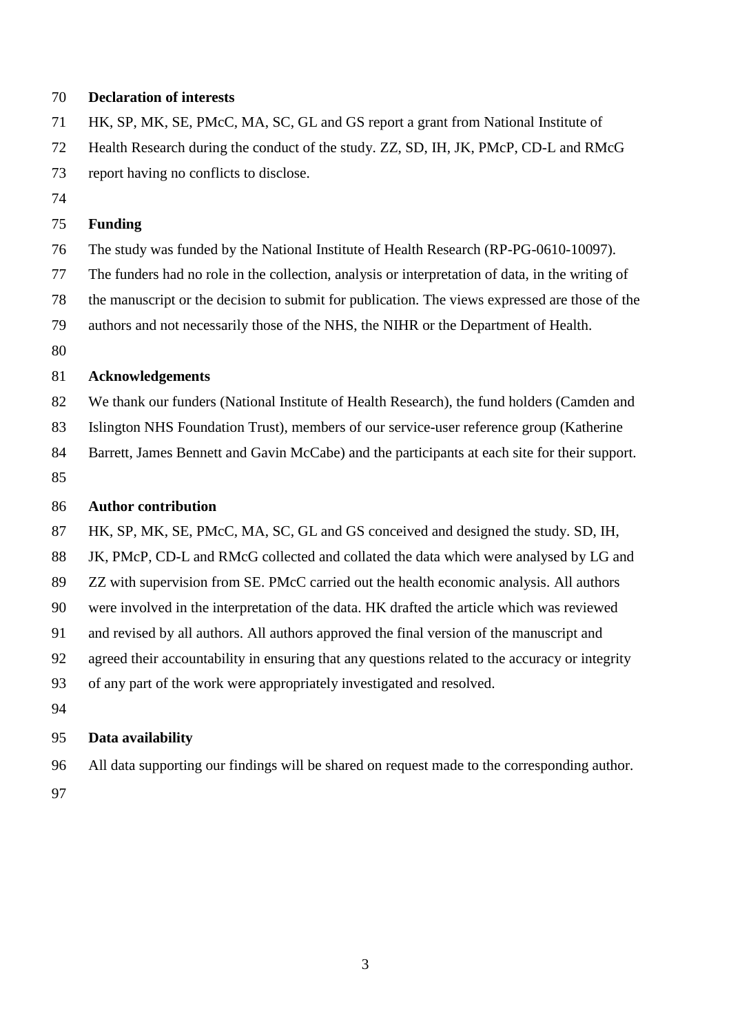## **Declaration of interests**

HK, SP, MK, SE, PMcC, MA, SC, GL and GS report a grant from National Institute of

- Health Research during the conduct of the study. ZZ, SD, IH, JK, PMcP, CD-L and RMcG
- report having no conflicts to disclose.
- 

# **Funding**

- The study was funded by the National Institute of Health Research (RP-PG-0610-10097).
- The funders had no role in the collection, analysis or interpretation of data, in the writing of
- the manuscript or the decision to submit for publication. The views expressed are those of the
- authors and not necessarily those of the NHS, the NIHR or the Department of Health.
- 

# **Acknowledgements**

- 82 We thank our funders (National Institute of Health Research), the fund holders (Camden and
- Islington NHS Foundation Trust), members of our service-user reference group (Katherine
- 84 Barrett, James Bennett and Gavin McCabe) and the participants at each site for their support.
- 

# **Author contribution**

- HK, SP, MK, SE, PMcC, MA, SC, GL and GS conceived and designed the study. SD, IH,
- JK, PMcP, CD-L and RMcG collected and collated the data which were analysed by LG and
- ZZ with supervision from SE. PMcC carried out the health economic analysis. All authors
- were involved in the interpretation of the data. HK drafted the article which was reviewed
- and revised by all authors. All authors approved the final version of the manuscript and
- agreed their accountability in ensuring that any questions related to the accuracy or integrity
- of any part of the work were appropriately investigated and resolved.
- 

# **Data availability**

All data supporting our findings will be shared on request made to the corresponding author.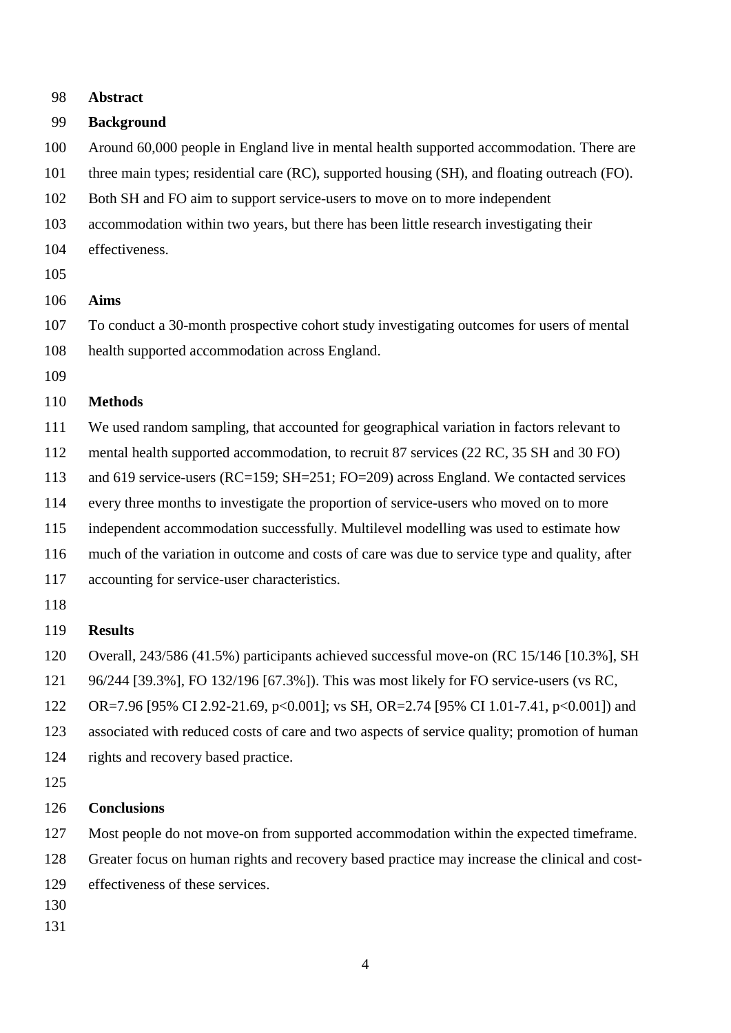| 98  | <b>Abstract</b>                                                                               |
|-----|-----------------------------------------------------------------------------------------------|
| 99  | <b>Background</b>                                                                             |
| 100 | Around 60,000 people in England live in mental health supported accommodation. There are      |
| 101 | three main types; residential care (RC), supported housing (SH), and floating outreach (FO).  |
| 102 | Both SH and FO aim to support service-users to move on to more independent                    |
| 103 | accommodation within two years, but there has been little research investigating their        |
| 104 | effectiveness.                                                                                |
| 105 |                                                                                               |
| 106 | <b>Aims</b>                                                                                   |
| 107 | To conduct a 30-month prospective cohort study investigating outcomes for users of mental     |
| 108 | health supported accommodation across England.                                                |
| 109 |                                                                                               |
| 110 | <b>Methods</b>                                                                                |
| 111 | We used random sampling, that accounted for geographical variation in factors relevant to     |
| 112 | mental health supported accommodation, to recruit 87 services (22 RC, 35 SH and 30 FO)        |
| 113 | and 619 service-users (RC=159; SH=251; FO=209) across England. We contacted services          |
| 114 | every three months to investigate the proportion of service-users who moved on to more        |
| 115 | independent accommodation successfully. Multilevel modelling was used to estimate how         |
| 116 | much of the variation in outcome and costs of care was due to service type and quality, after |
| 117 | accounting for service-user characteristics.                                                  |
| 118 |                                                                                               |
| 119 | <b>Results</b>                                                                                |
| 120 | Overall, 243/586 (41.5%) participants achieved successful move-on (RC 15/146 [10.3%], SH      |
| 121 | 96/244 [39.3%], FO 132/196 [67.3%]). This was most likely for FO service-users (vs RC,        |
| 122 | OR=7.96 [95% CI 2.92-21.69, p<0.001]; vs SH, OR=2.74 [95% CI 1.01-7.41, p<0.001]) and         |
| 123 | associated with reduced costs of care and two aspects of service quality; promotion of human  |
| 124 | rights and recovery based practice.                                                           |
| 125 |                                                                                               |
| 126 | <b>Conclusions</b>                                                                            |
| 127 | Most people do not move-on from supported accommodation within the expected timeframe.        |
| 128 | Greater focus on human rights and recovery based practice may increase the clinical and cost- |
| 129 | effectiveness of these services.                                                              |
| 130 |                                                                                               |
| 131 |                                                                                               |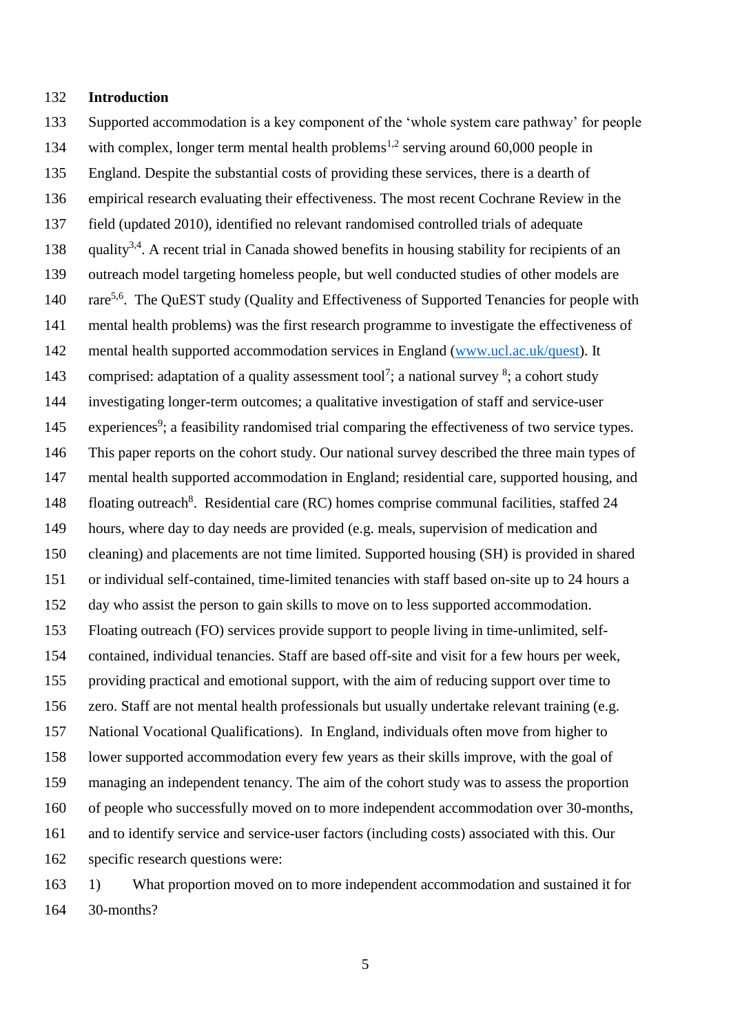#### **Introduction**

30-months?

 Supported accommodation is a key component of the 'whole system care pathway' for people 134 with complex, longer term mental health problems<sup>1,2</sup> serving around 60,000 people in England. Despite the substantial costs of providing these services, there is a dearth of empirical research evaluating their effectiveness. The most recent Cochrane Review in the field (updated 2010), identified no relevant randomised controlled trials of adequate 138 . quality<sup>3,4</sup>. A recent trial in Canada showed benefits in housing stability for recipients of an outreach model targeting homeless people, but well conducted studies of other models are 140 rare<sup>5,6</sup>. The QuEST study (Quality and Effectiveness of Supported Tenancies for people with mental health problems) was the first research programme to investigate the effectiveness of mental health supported accommodation services in England [\(www.ucl.ac.uk/quest\)](http://www.ucl.ac.uk/quest). It 143 comprised: adaptation of a quality assessment tool<sup>7</sup>; a national survey <sup>8</sup>; a cohort study investigating longer-term outcomes; a qualitative investigation of staff and service-user 145 experiences<sup>9</sup>; a feasibility randomised trial comparing the effectiveness of two service types. This paper reports on the cohort study. Our national survey described the three main types of mental health supported accommodation in England; residential care, supported housing, and 148 floating outreach<sup>8</sup>. Residential care (RC) homes comprise communal facilities, staffed 24 hours, where day to day needs are provided (e.g. meals, supervision of medication and cleaning) and placements are not time limited. Supported housing (SH) is provided in shared or individual self-contained, time-limited tenancies with staff based on-site up to 24 hours a day who assist the person to gain skills to move on to less supported accommodation. Floating outreach (FO) services provide support to people living in time-unlimited, self- contained, individual tenancies. Staff are based off-site and visit for a few hours per week, providing practical and emotional support, with the aim of reducing support over time to zero. Staff are not mental health professionals but usually undertake relevant training (e.g. National Vocational Qualifications). In England, individuals often move from higher to lower supported accommodation every few years as their skills improve, with the goal of managing an independent tenancy. The aim of the cohort study was to assess the proportion of people who successfully moved on to more independent accommodation over 30-months, and to identify service and service-user factors (including costs) associated with this. Our specific research questions were: 1) What proportion moved on to more independent accommodation and sustained it for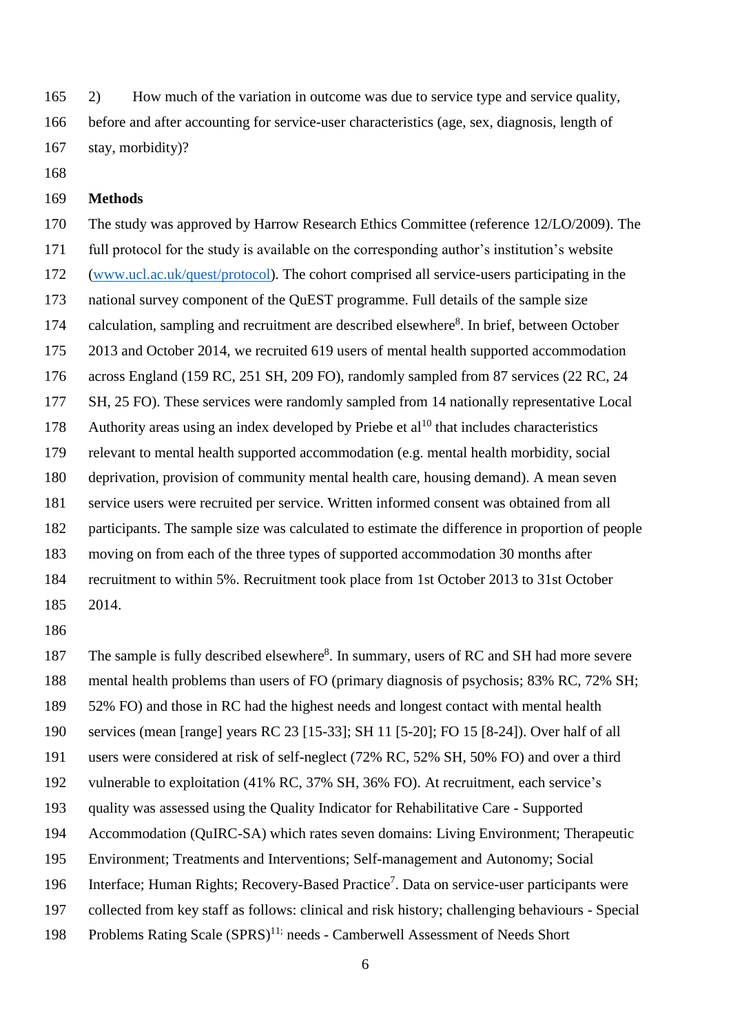2) How much of the variation in outcome was due to service type and service quality, before and after accounting for service-user characteristics (age, sex, diagnosis, length of stay, morbidity)?

### **Methods**

 The study was approved by Harrow Research Ethics Committee (reference 12/LO/2009). The full protocol for the study is available on the corresponding author's institution's website [\(www.ucl.ac.uk/quest/protocol\)](http://www.ucl.ac.uk/quest/protocol). The cohort comprised all service-users participating in the national survey component of the QuEST programme. Full details of the sample size 174 calculation, sampling and recruitment are described elsewhere<sup>8</sup>. In brief, between October 2013 and October 2014, we recruited 619 users of mental health supported accommodation across England (159 RC, 251 SH, 209 FO), randomly sampled from 87 services (22 RC, 24 177 SH, 25 FO). These services were randomly sampled from 14 nationally representative Local 178 Authority areas using an index developed by Priebe et  $al^{10}$  that includes characteristics relevant to mental health supported accommodation (e.g. mental health morbidity, social deprivation, provision of community mental health care, housing demand). A mean seven service users were recruited per service. Written informed consent was obtained from all participants. The sample size was calculated to estimate the difference in proportion of people moving on from each of the three types of supported accommodation 30 months after recruitment to within 5%. Recruitment took place from 1st October 2013 to 31st October

2014.

187 The sample is fully described elsewhere<sup>8</sup>. In summary, users of RC and SH had more severe mental health problems than users of FO (primary diagnosis of psychosis; 83% RC, 72% SH; 52% FO) and those in RC had the highest needs and longest contact with mental health services (mean [range] years RC 23 [15-33]; SH 11 [5-20]; FO 15 [8-24]). Over half of all users were considered at risk of self-neglect (72% RC, 52% SH, 50% FO) and over a third vulnerable to exploitation (41% RC, 37% SH, 36% FO). At recruitment, each service's quality was assessed using the Quality Indicator for Rehabilitative Care - Supported Accommodation (QuIRC-SA) which rates seven domains: Living Environment; Therapeutic Environment; Treatments and Interventions; Self-management and Autonomy; Social 196 Interface; Human Rights; Recovery-Based Practice<sup>7</sup>. Data on service-user participants were collected from key staff as follows: clinical and risk history; challenging behaviours - Special 198 Problems Rating Scale (SPRS)<sup>11;</sup> needs - Camberwell Assessment of Needs Short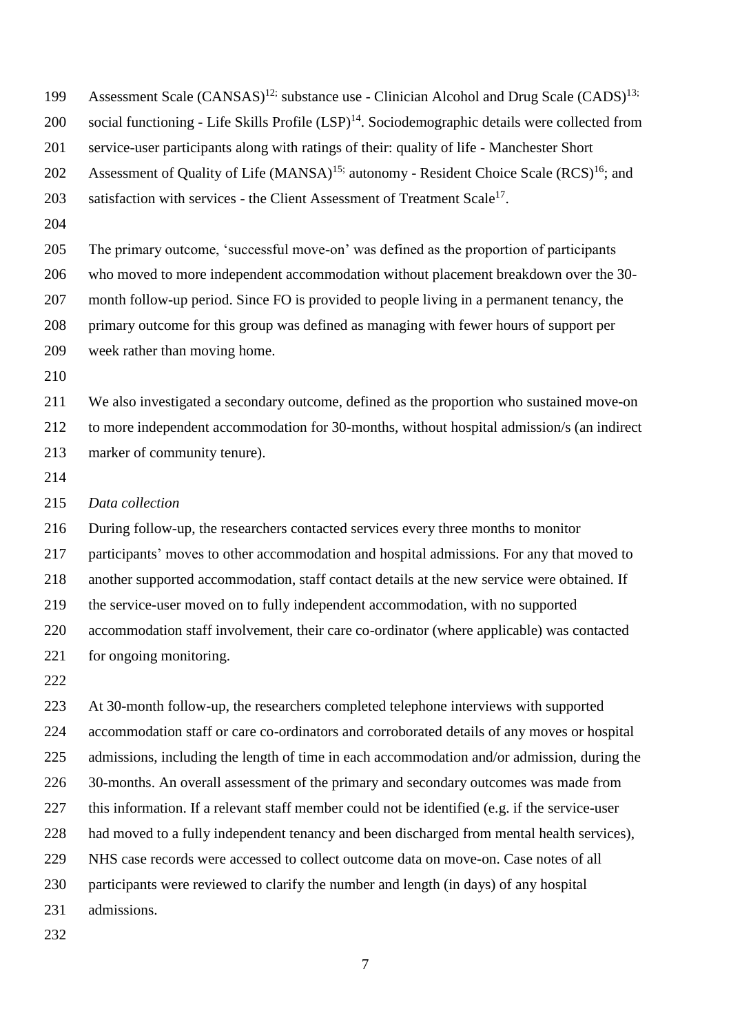| 199 | Assessment Scale (CANSAS) <sup>12;</sup> substance use - Clinician Alcohol and Drug Scale (CADS) <sup>13;</sup> |
|-----|-----------------------------------------------------------------------------------------------------------------|
| 200 | social functioning - Life Skills Profile (LSP) <sup>14</sup> . Sociodemographic details were collected from     |
| 201 | service-user participants along with ratings of their: quality of life - Manchester Short                       |
| 202 | Assessment of Quality of Life (MANSA) <sup>15;</sup> autonomy - Resident Choice Scale (RCS) <sup>16</sup> ; and |
| 203 | satisfaction with services - the Client Assessment of Treatment Scale <sup>17</sup> .                           |
| 204 |                                                                                                                 |
| 205 | The primary outcome, 'successful move-on' was defined as the proportion of participants                         |
| 206 | who moved to more independent accommodation without placement breakdown over the 30-                            |
| 207 | month follow-up period. Since FO is provided to people living in a permanent tenancy, the                       |
| 208 | primary outcome for this group was defined as managing with fewer hours of support per                          |
| 209 | week rather than moving home.                                                                                   |
| 210 |                                                                                                                 |
| 211 | We also investigated a secondary outcome, defined as the proportion who sustained move-on                       |
| 212 | to more independent accommodation for 30-months, without hospital admission/s (an indirect                      |
| 213 | marker of community tenure).                                                                                    |
| 214 |                                                                                                                 |
| 215 | Data collection                                                                                                 |
| 216 | During follow-up, the researchers contacted services every three months to monitor                              |
| 217 | participants' moves to other accommodation and hospital admissions. For any that moved to                       |
| 218 | another supported accommodation, staff contact details at the new service were obtained. If                     |
| 219 | the service-user moved on to fully independent accommodation, with no supported                                 |
| 220 | accommodation staff involvement, their care co-ordinator (where applicable) was contacted                       |
| 221 | for ongoing monitoring.                                                                                         |
| 222 |                                                                                                                 |
| 223 | At 30-month follow-up, the researchers completed telephone interviews with supported                            |
| 224 | accommodation staff or care co-ordinators and corroborated details of any moves or hospital                     |

admissions, including the length of time in each accommodation and/or admission, during the

- 30-months. An overall assessment of the primary and secondary outcomes was made from
- this information. If a relevant staff member could not be identified (e.g. if the service-user
- had moved to a fully independent tenancy and been discharged from mental health services),
- NHS case records were accessed to collect outcome data on move-on. Case notes of all
- participants were reviewed to clarify the number and length (in days) of any hospital
- admissions.
-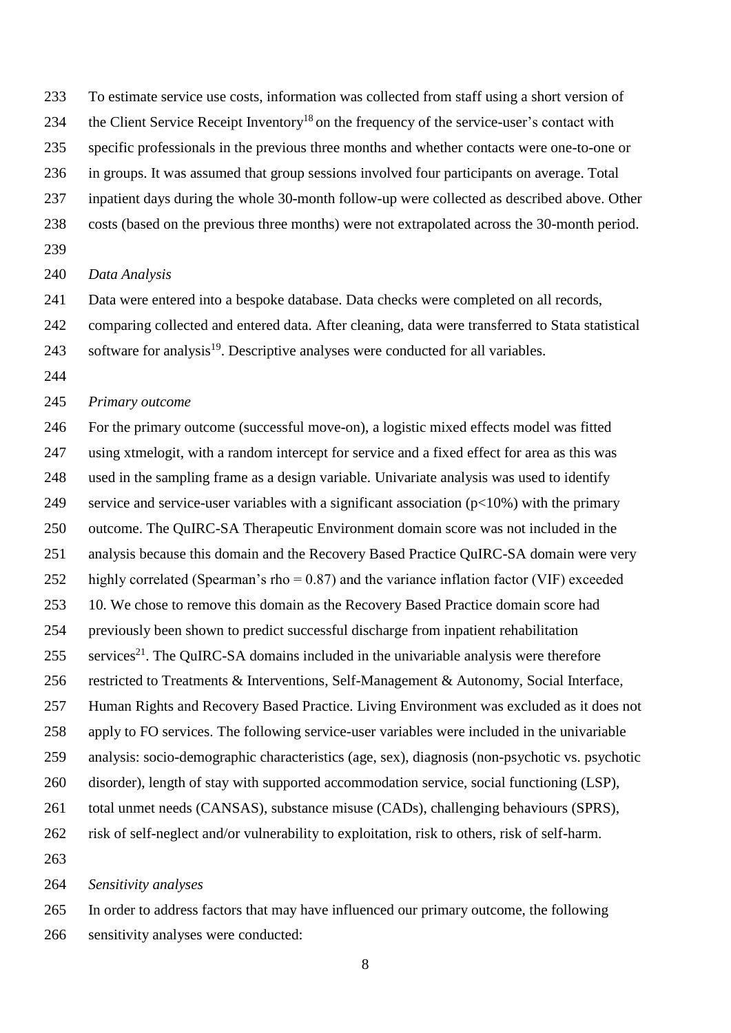- To estimate service use costs, information was collected from staff using a short version of
- 234 the Client Service Receipt Inventory<sup>18</sup> on the frequency of the service-user's contact with
- specific professionals in the previous three months and whether contacts were one-to-one or
- in groups. It was assumed that group sessions involved four participants on average. Total
- inpatient days during the whole 30-month follow-up were collected as described above. Other
- costs (based on the previous three months) were not extrapolated across the 30-month period.
- 

#### *Data Analysis*

- Data were entered into a bespoke database. Data checks were completed on all records,
- comparing collected and entered data. After cleaning, data were transferred to Stata statistical
- 243 software for analysis. Descriptive analyses were conducted for all variables.
- 

### *Primary outcome*

 For the primary outcome (successful move-on), a logistic mixed effects model was fitted using xtmelogit, with a random intercept for service and a fixed effect for area as this was used in the sampling frame as a design variable. Univariate analysis was used to identify 249 service and service-user variables with a significant association  $(p<10%)$  with the primary outcome. The QuIRC-SA Therapeutic Environment domain score was not included in the analysis because this domain and the Recovery Based Practice QuIRC-SA domain were very 252 highly correlated (Spearman's rho = 0.87) and the variance inflation factor (VIF) exceeded 10. We chose to remove this domain as the Recovery Based Practice domain score had previously been shown to predict successful discharge from inpatient rehabilitation services<sup>21</sup>. The QuIRC-SA domains included in the univariable analysis were therefore restricted to Treatments & Interventions, Self-Management & Autonomy, Social Interface, Human Rights and Recovery Based Practice. Living Environment was excluded as it does not apply to FO services. The following service-user variables were included in the univariable analysis: socio-demographic characteristics (age, sex), diagnosis (non-psychotic vs. psychotic disorder), length of stay with supported accommodation service, social functioning (LSP), total unmet needs (CANSAS), substance misuse (CADs), challenging behaviours (SPRS), risk of self-neglect and/or vulnerability to exploitation, risk to others, risk of self-harm. 

#### *Sensitivity analyses*

 In order to address factors that may have influenced our primary outcome, the following sensitivity analyses were conducted: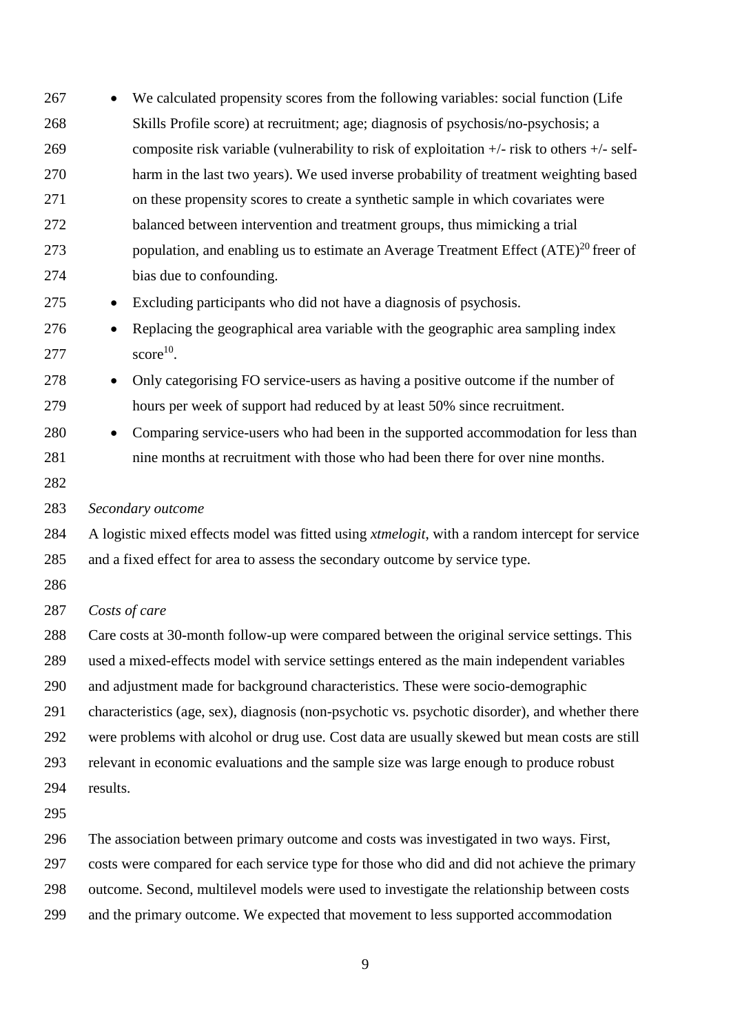- We calculated propensity scores from the following variables: social function (Life Skills Profile score) at recruitment; age; diagnosis of psychosis/no-psychosis; a composite risk variable (vulnerability to risk of exploitation +/- risk to others +/- self- harm in the last two years). We used inverse probability of treatment weighting based on these propensity scores to create a synthetic sample in which covariates were balanced between intervention and treatment groups, thus mimicking a trial 273 bopulation, and enabling us to estimate an Average Treatment Effect  $(ATE)^{20}$  freer of bias due to confounding. Excluding participants who did not have a diagnosis of psychosis. Replacing the geographical area variable with the geographic area sampling index score<sup>10</sup>. Only categorising FO service-users as having a positive outcome if the number of hours per week of support had reduced by at least 50% since recruitment. 280 • Comparing service-users who had been in the supported accommodation for less than nine months at recruitment with those who had been there for over nine months. *Secondary outcome* A logistic mixed effects model was fitted using *xtmelogit*, with a random intercept for service and a fixed effect for area to assess the secondary outcome by service type. *Costs of care* Care costs at 30-month follow-up were compared between the original service settings. This used a mixed-effects model with service settings entered as the main independent variables and adjustment made for background characteristics. These were socio-demographic characteristics (age, sex), diagnosis (non-psychotic vs. psychotic disorder), and whether there were problems with alcohol or drug use. Cost data are usually skewed but mean costs are still relevant in economic evaluations and the sample size was large enough to produce robust results. The association between primary outcome and costs was investigated in two ways. First, costs were compared for each service type for those who did and did not achieve the primary outcome. Second, multilevel models were used to investigate the relationship between costs
- and the primary outcome. We expected that movement to less supported accommodation
	-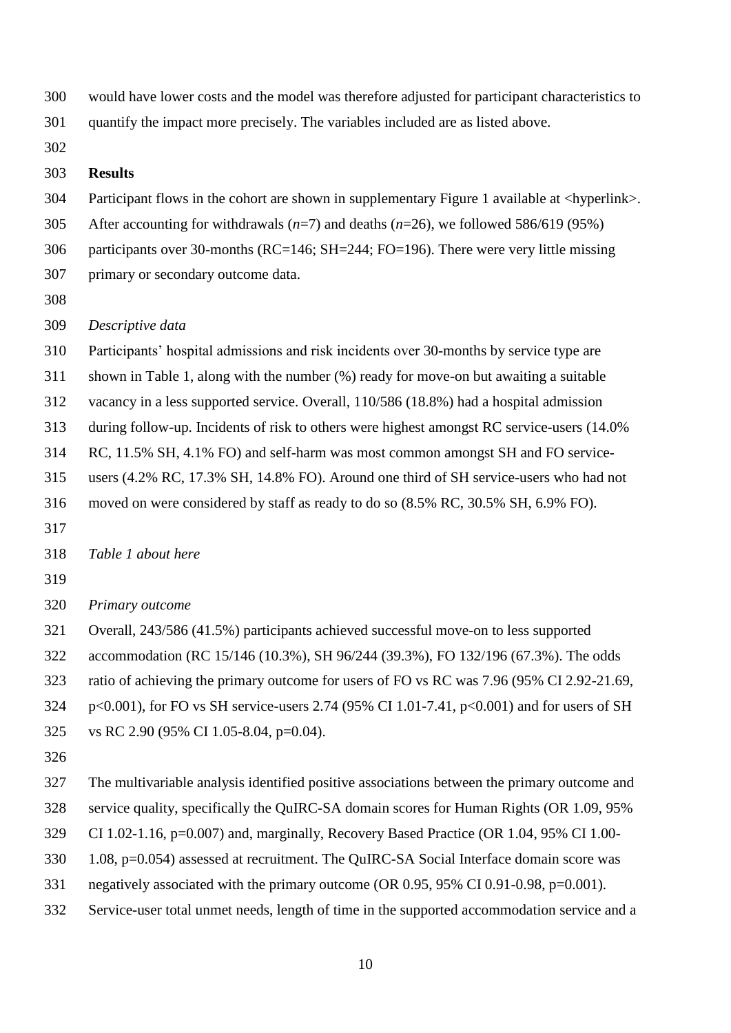- would have lower costs and the model was therefore adjusted for participant characteristics to
- quantify the impact more precisely. The variables included are as listed above.
- 

#### **Results**

- Participant flows in the cohort are shown in supplementary Figure 1 available at <hyperlink>.
- After accounting for withdrawals (*n*=7) and deaths (*n*=26), we followed 586/619 (95%)
- participants over 30-months (RC=146; SH=244; FO=196). There were very little missing
- primary or secondary outcome data.
- 
- *Descriptive data*
- Participants' hospital admissions and risk incidents over 30-months by service type are
- shown in Table 1, along with the number (%) ready for move-on but awaiting a suitable
- vacancy in a less supported service. Overall, 110/586 (18.8%) had a hospital admission
- during follow-up. Incidents of risk to others were highest amongst RC service-users (14.0%
- RC, 11.5% SH, 4.1% FO) and self-harm was most common amongst SH and FO service-
- users (4.2% RC, 17.3% SH, 14.8% FO). Around one third of SH service-users who had not
- moved on were considered by staff as ready to do so (8.5% RC, 30.5% SH, 6.9% FO).
- 
- *Table 1 about here*
- 
- *Primary outcome*
- Overall, 243/586 (41.5%) participants achieved successful move-on to less supported
- accommodation (RC 15/146 (10.3%), SH 96/244 (39.3%), FO 132/196 (67.3%). The odds
- ratio of achieving the primary outcome for users of FO vs RC was 7.96 (95% CI 2.92-21.69,
- p<0.001), for FO vs SH service-users 2.74 (95% CI 1.01-7.41, p<0.001) and for users of SH
- vs RC 2.90 (95% CI 1.05-8.04, p=0.04).
- 
- The multivariable analysis identified positive associations between the primary outcome and
- service quality, specifically the QuIRC-SA domain scores for Human Rights (OR 1.09, 95%
- CI 1.02-1.16, p=0.007) and, marginally, Recovery Based Practice (OR 1.04, 95% CI 1.00-
- 1.08, p=0.054) assessed at recruitment. The QuIRC-SA Social Interface domain score was
- negatively associated with the primary outcome (OR 0.95, 95% CI 0.91-0.98, p=0.001).
- Service-user total unmet needs, length of time in the supported accommodation service and a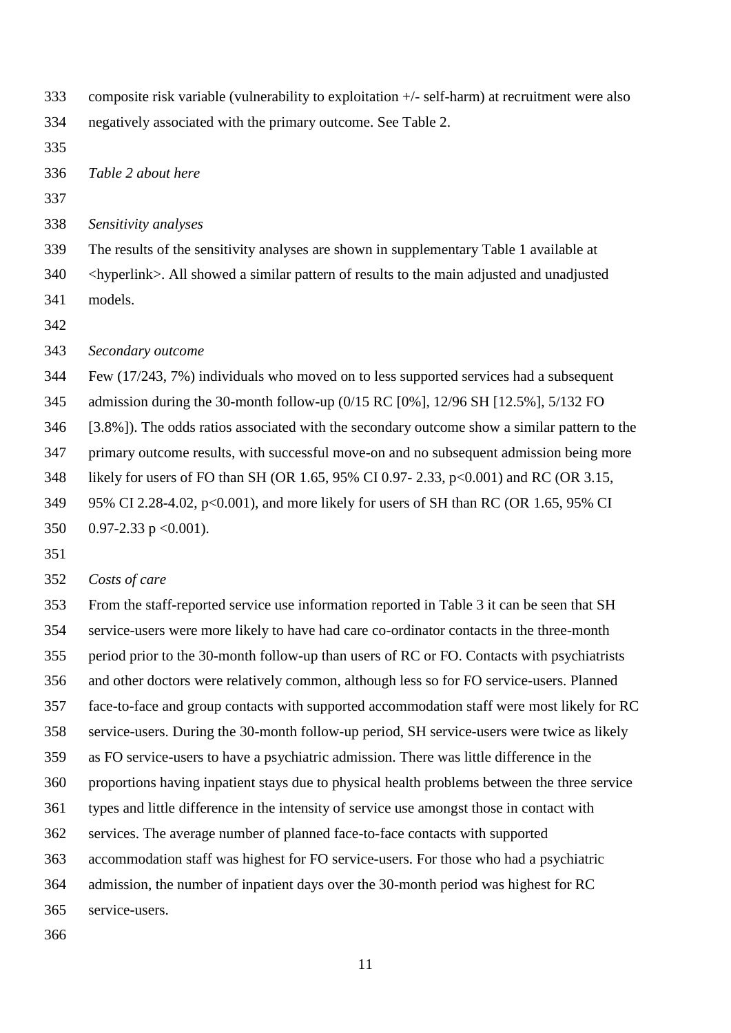- composite risk variable (vulnerability to exploitation +/- self-harm) at recruitment were also
- negatively associated with the primary outcome. See Table 2.
- 

*Table 2 about here*

*Sensitivity analyses*

- The results of the sensitivity analyses are shown in supplementary Table 1 available at
- 340 <hyperlink>. All showed a similar pattern of results to the main adjusted and unadjusted
- models.
- 
- *Secondary outcome*

 Few (17/243, 7%) individuals who moved on to less supported services had a subsequent admission during the 30-month follow-up (0/15 RC [0%], 12/96 SH [12.5%], 5/132 FO

[3.8%]). The odds ratios associated with the secondary outcome show a similar pattern to the

primary outcome results, with successful move-on and no subsequent admission being more

- likely for users of FO than SH (OR 1.65, 95% CI 0.97- 2.33, p<0.001) and RC (OR 3.15,
- 95% CI 2.28-4.02, p<0.001), and more likely for users of SH than RC (OR 1.65, 95% CI
- 350 0.97-2.33 p < 0.001).
- 

## *Costs of care*

 From the staff-reported service use information reported in Table 3 it can be seen that SH service-users were more likely to have had care co-ordinator contacts in the three-month period prior to the 30-month follow-up than users of RC or FO. Contacts with psychiatrists and other doctors were relatively common, although less so for FO service-users. Planned face-to-face and group contacts with supported accommodation staff were most likely for RC service-users. During the 30-month follow-up period, SH service-users were twice as likely as FO service-users to have a psychiatric admission. There was little difference in the proportions having inpatient stays due to physical health problems between the three service types and little difference in the intensity of service use amongst those in contact with services. The average number of planned face-to-face contacts with supported accommodation staff was highest for FO service-users. For those who had a psychiatric admission, the number of inpatient days over the 30-month period was highest for RC service-users.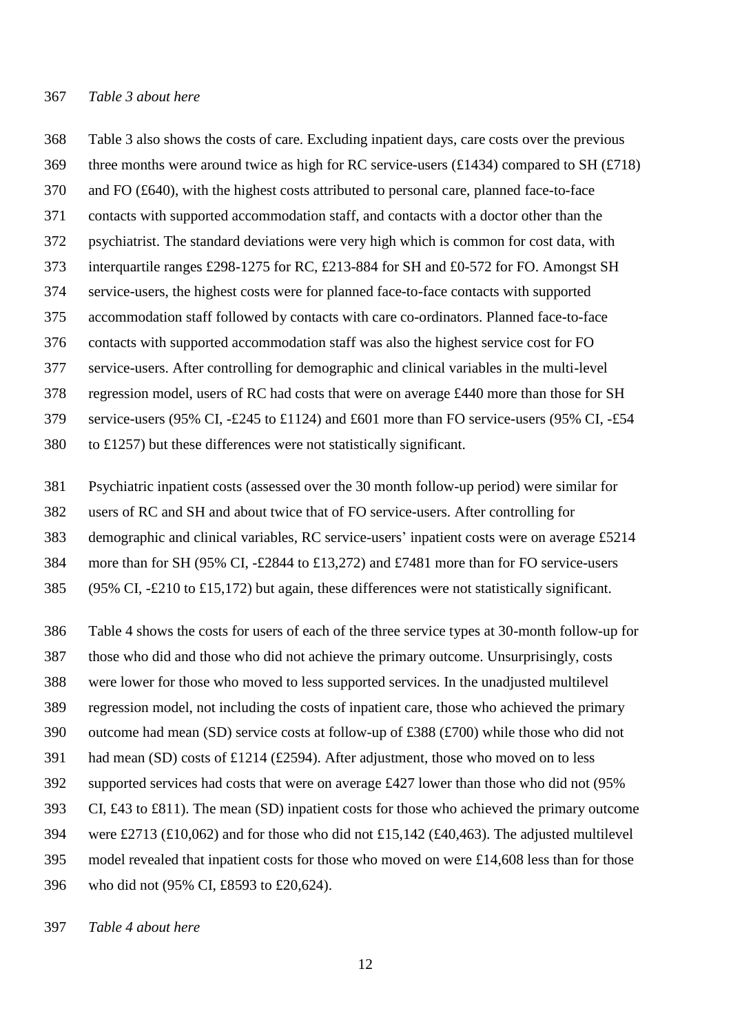#### *Table 3 about here*

 Table 3 also shows the costs of care. Excluding inpatient days, care costs over the previous 369 three months were around twice as high for RC service-users (£1434) compared to SH ( $\text{\textsterling}718$ ) and FO (£640), with the highest costs attributed to personal care, planned face-to-face contacts with supported accommodation staff, and contacts with a doctor other than the psychiatrist. The standard deviations were very high which is common for cost data, with interquartile ranges £298-1275 for RC, £213-884 for SH and £0-572 for FO. Amongst SH service-users, the highest costs were for planned face-to-face contacts with supported accommodation staff followed by contacts with care co-ordinators. Planned face-to-face contacts with supported accommodation staff was also the highest service cost for FO service-users. After controlling for demographic and clinical variables in the multi-level regression model, users of RC had costs that were on average £440 more than those for SH service-users (95% CI, -£245 to £1124) and £601 more than FO service-users (95% CI, -£54 to £1257) but these differences were not statistically significant.

 Psychiatric inpatient costs (assessed over the 30 month follow-up period) were similar for users of RC and SH and about twice that of FO service-users. After controlling for demographic and clinical variables, RC service-users' inpatient costs were on average £5214 more than for SH (95% CI, -£2844 to £13,272) and £7481 more than for FO service-users 385 (95% CI,  $-\text{\pounds}210$  to  $\text{\pounds}15,172$ ) but again, these differences were not statistically significant.

 Table 4 shows the costs for users of each of the three service types at 30-month follow-up for those who did and those who did not achieve the primary outcome. Unsurprisingly, costs were lower for those who moved to less supported services. In the unadjusted multilevel regression model, not including the costs of inpatient care, those who achieved the primary outcome had mean (SD) service costs at follow-up of £388 (£700) while those who did not had mean (SD) costs of £1214 (£2594). After adjustment, those who moved on to less supported services had costs that were on average £427 lower than those who did not (95% 393 CI,  $\pounds$ 43 to  $\pounds$ 811). The mean (SD) inpatient costs for those who achieved the primary outcome were £2713 (£10,062) and for those who did not £15,142 (£40,463). The adjusted multilevel model revealed that inpatient costs for those who moved on were £14,608 less than for those who did not (95% CI, £8593 to £20,624).

*Table 4 about here*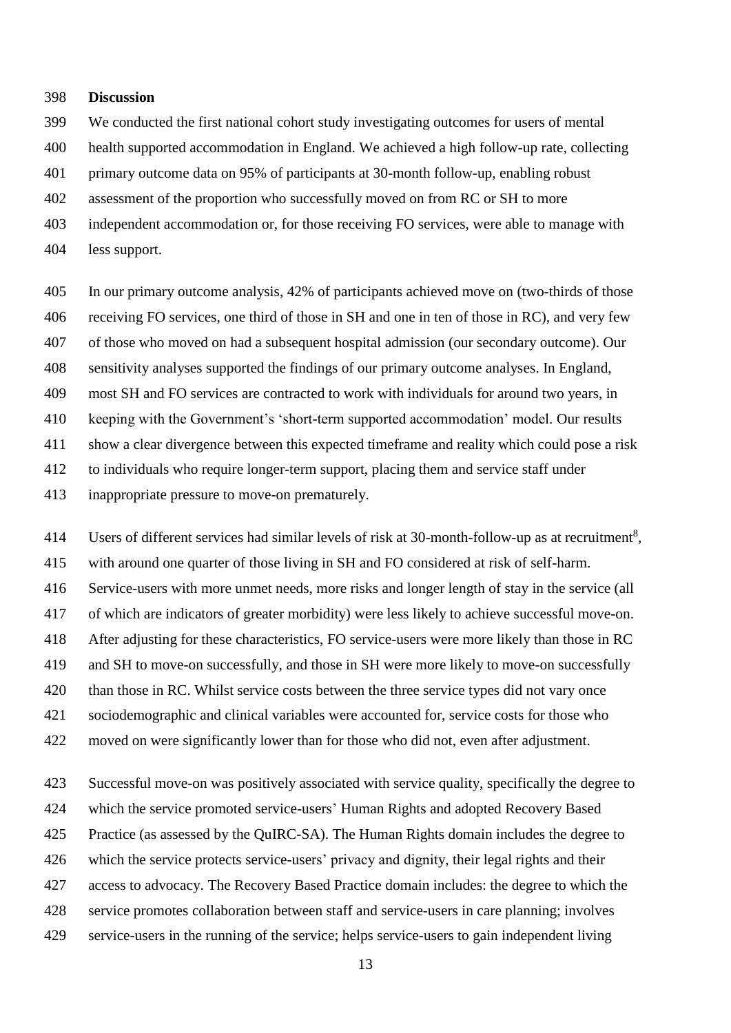#### **Discussion**

We conducted the first national cohort study investigating outcomes for users of mental

health supported accommodation in England. We achieved a high follow-up rate, collecting

primary outcome data on 95% of participants at 30-month follow-up, enabling robust

assessment of the proportion who successfully moved on from RC or SH to more

independent accommodation or, for those receiving FO services, were able to manage with

less support.

 In our primary outcome analysis, 42% of participants achieved move on (two-thirds of those receiving FO services, one third of those in SH and one in ten of those in RC), and very few

of those who moved on had a subsequent hospital admission (our secondary outcome). Our

sensitivity analyses supported the findings of our primary outcome analyses. In England,

most SH and FO services are contracted to work with individuals for around two years, in

keeping with the Government's 'short-term supported accommodation' model. Our results

show a clear divergence between this expected timeframe and reality which could pose a risk

to individuals who require longer-term support, placing them and service staff under

inappropriate pressure to move-on prematurely.

414 Users of different services had similar levels of risk at 30-month-follow-up as at recruitment<sup>8</sup>, with around one quarter of those living in SH and FO considered at risk of self-harm. Service-users with more unmet needs, more risks and longer length of stay in the service (all of which are indicators of greater morbidity) were less likely to achieve successful move-on. After adjusting for these characteristics, FO service-users were more likely than those in RC and SH to move-on successfully, and those in SH were more likely to move-on successfully than those in RC. Whilst service costs between the three service types did not vary once sociodemographic and clinical variables were accounted for, service costs for those who moved on were significantly lower than for those who did not, even after adjustment.

 Successful move-on was positively associated with service quality, specifically the degree to which the service promoted service-users' Human Rights and adopted Recovery Based Practice (as assessed by the QuIRC-SA). The Human Rights domain includes the degree to which the service protects service-users' privacy and dignity, their legal rights and their access to advocacy. The Recovery Based Practice domain includes: the degree to which the service promotes collaboration between staff and service-users in care planning; involves service-users in the running of the service; helps service-users to gain independent living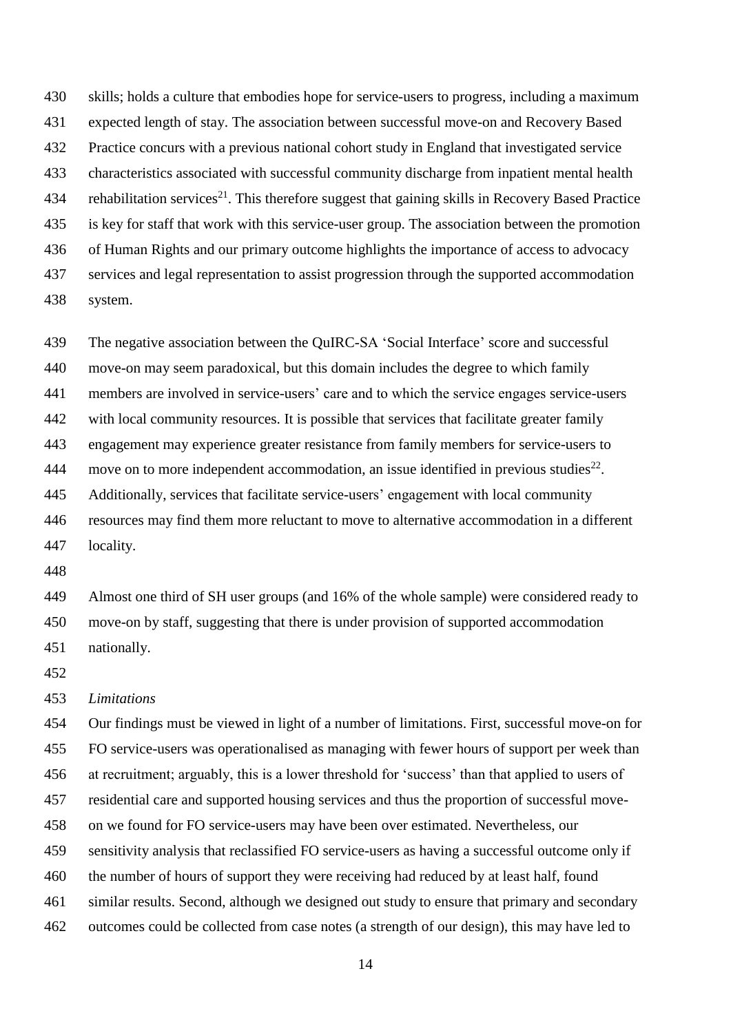skills; holds a culture that embodies hope for service-users to progress, including a maximum expected length of stay. The association between successful move-on and Recovery Based Practice concurs with a previous national cohort study in England that investigated service characteristics associated with successful community discharge from inpatient mental health 434 rehabilitation services<sup>21</sup>. This therefore suggest that gaining skills in Recovery Based Practice is key for staff that work with this service-user group. The association between the promotion of Human Rights and our primary outcome highlights the importance of access to advocacy services and legal representation to assist progression through the supported accommodation system.

 The negative association between the QuIRC-SA 'Social Interface' score and successful move-on may seem paradoxical, but this domain includes the degree to which family members are involved in service-users' care and to which the service engages service-users with local community resources. It is possible that services that facilitate greater family engagement may experience greater resistance from family members for service-users to 444 move on to more independent accommodation, an issue identified in previous studies<sup>22</sup>. Additionally, services that facilitate service-users' engagement with local community resources may find them more reluctant to move to alternative accommodation in a different locality.

 Almost one third of SH user groups (and 16% of the whole sample) were considered ready to move-on by staff, suggesting that there is under provision of supported accommodation nationally.

#### *Limitations*

 Our findings must be viewed in light of a number of limitations. First, successful move-on for FO service-users was operationalised as managing with fewer hours of support per week than at recruitment; arguably, this is a lower threshold for 'success' than that applied to users of residential care and supported housing services and thus the proportion of successful move- on we found for FO service-users may have been over estimated. Nevertheless, our sensitivity analysis that reclassified FO service-users as having a successful outcome only if the number of hours of support they were receiving had reduced by at least half, found similar results. Second, although we designed out study to ensure that primary and secondary outcomes could be collected from case notes (a strength of our design), this may have led to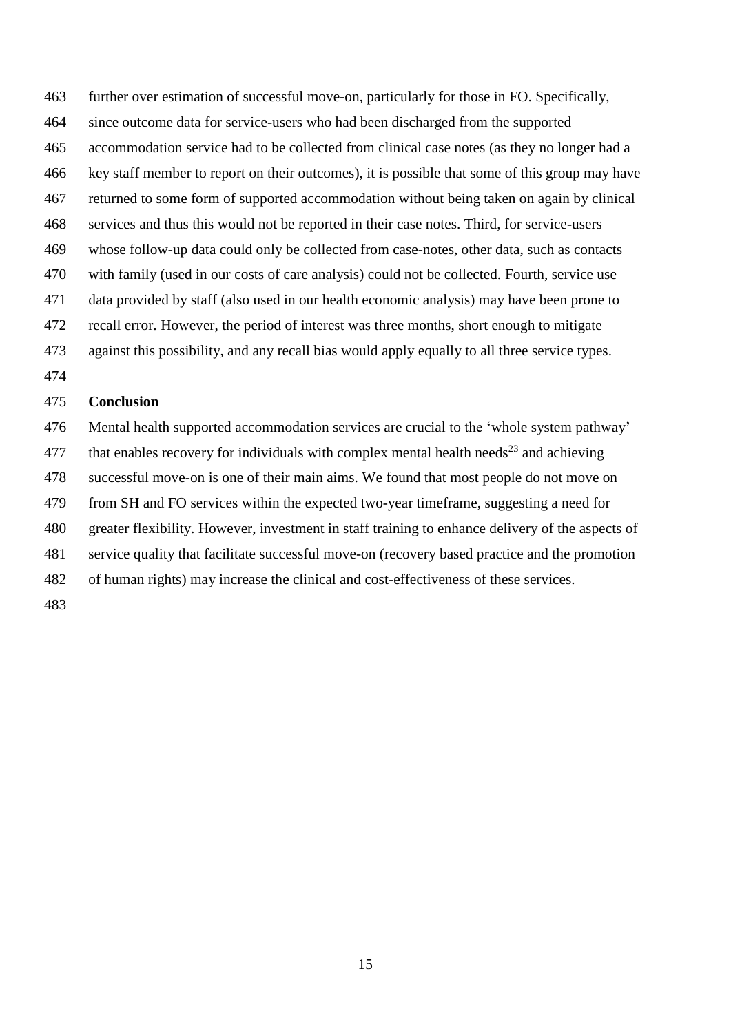further over estimation of successful move-on, particularly for those in FO. Specifically, since outcome data for service-users who had been discharged from the supported accommodation service had to be collected from clinical case notes (as they no longer had a key staff member to report on their outcomes), it is possible that some of this group may have returned to some form of supported accommodation without being taken on again by clinical services and thus this would not be reported in their case notes. Third, for service-users whose follow-up data could only be collected from case-notes, other data, such as contacts with family (used in our costs of care analysis) could not be collected. Fourth, service use data provided by staff (also used in our health economic analysis) may have been prone to recall error. However, the period of interest was three months, short enough to mitigate against this possibility, and any recall bias would apply equally to all three service types.

## **Conclusion**

 Mental health supported accommodation services are crucial to the 'whole system pathway' 477 that enables recovery for individuals with complex mental health needs<sup>23</sup> and achieving successful move-on is one of their main aims. We found that most people do not move on from SH and FO services within the expected two-year timeframe, suggesting a need for greater flexibility. However, investment in staff training to enhance delivery of the aspects of service quality that facilitate successful move-on (recovery based practice and the promotion of human rights) may increase the clinical and cost-effectiveness of these services.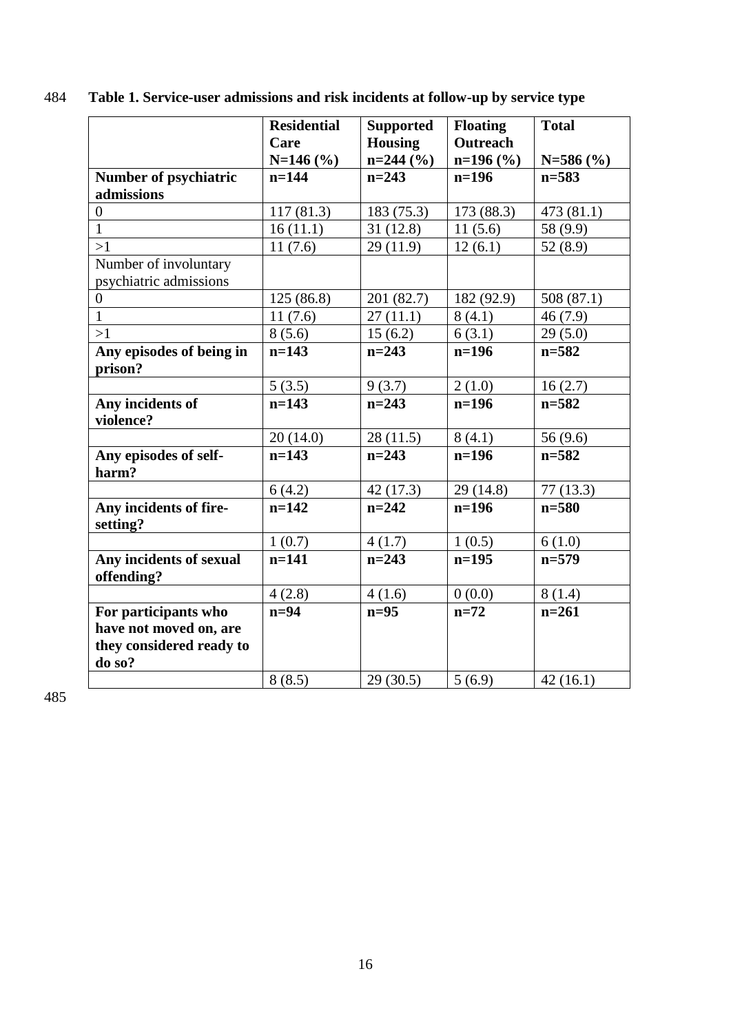|                                       | <b>Residential</b> | <b>Supported</b> | <b>Floating</b> | <b>Total</b> |
|---------------------------------------|--------------------|------------------|-----------------|--------------|
|                                       | Care               | <b>Housing</b>   | Outreach        |              |
|                                       | $N=146$ (%)        | $n=244$ (%)      | $n=196$ (%)     | $N=586$ (%)  |
| Number of psychiatric                 | $n=144$            | $n=243$          | $n=196$         | $n = 583$    |
| admissions                            |                    |                  |                 |              |
| $\overline{0}$                        | 117(81.3)          | 183 (75.3)       | 173 (88.3)      | 473(81.1)    |
| $\overline{1}$                        | 16(11.1)           | 31(12.8)         | 11(5.6)         | 58 (9.9)     |
| >1                                    | 11(7.6)            | 29(11.9)         | 12(6.1)         | 52(8.9)      |
| Number of involuntary                 |                    |                  |                 |              |
| psychiatric admissions                |                    |                  |                 |              |
| $\boldsymbol{0}$                      | 125(86.8)          | 201 (82.7)       | 182 (92.9)      | 508 (87.1)   |
| $\mathbf{1}$                          | 11(7.6)            | 27(11.1)         | 8(4.1)          | 46(7.9)      |
| >1                                    | 8(5.6)             | 15(6.2)          | 6(3.1)          | 29(5.0)      |
| Any episodes of being in              | $n=143$            | $n=243$          | $n=196$         | $n = 582$    |
| prison?                               |                    |                  |                 |              |
|                                       | 5(3.5)             | 9(3.7)           | 2(1.0)          | 16(2.7)      |
| Any incidents of                      | $n=143$            | $n=243$          | $n=196$         | $n = 582$    |
| violence?                             |                    |                  |                 |              |
|                                       | 20(14.0)           | 28(11.5)         | 8(4.1)          | 56(9.6)      |
| Any episodes of self-<br>harm?        | $n=143$            | $n = 243$        | $n=196$         | $n = 582$    |
|                                       | 6(4.2)             | 42(17.3)         | 29(14.8)        | 77(13.3)     |
| Any incidents of fire-                | $n=142$            | $n = 242$        | $n=196$         | $n = 580$    |
| setting?                              |                    |                  |                 |              |
|                                       | 1(0.7)             | 4(1.7)           | 1(0.5)          | 6(1.0)       |
| Any incidents of sexual<br>offending? | $n=141$            | $n = 243$        | $n=195$         | $n=579$      |
|                                       | 4(2.8)             | 4(1.6)           | 0(0.0)          | 8(1.4)       |
| For participants who                  | $n=94$             | $n=95$           | $n=72$          | $n=261$      |
| have not moved on, are                |                    |                  |                 |              |
| they considered ready to              |                    |                  |                 |              |
| do so?                                |                    |                  |                 |              |
|                                       | 8(8.5)             | 29(30.5)         | 5(6.9)          | 42(16.1)     |

484 **Table 1. Service-user admissions and risk incidents at follow-up by service type**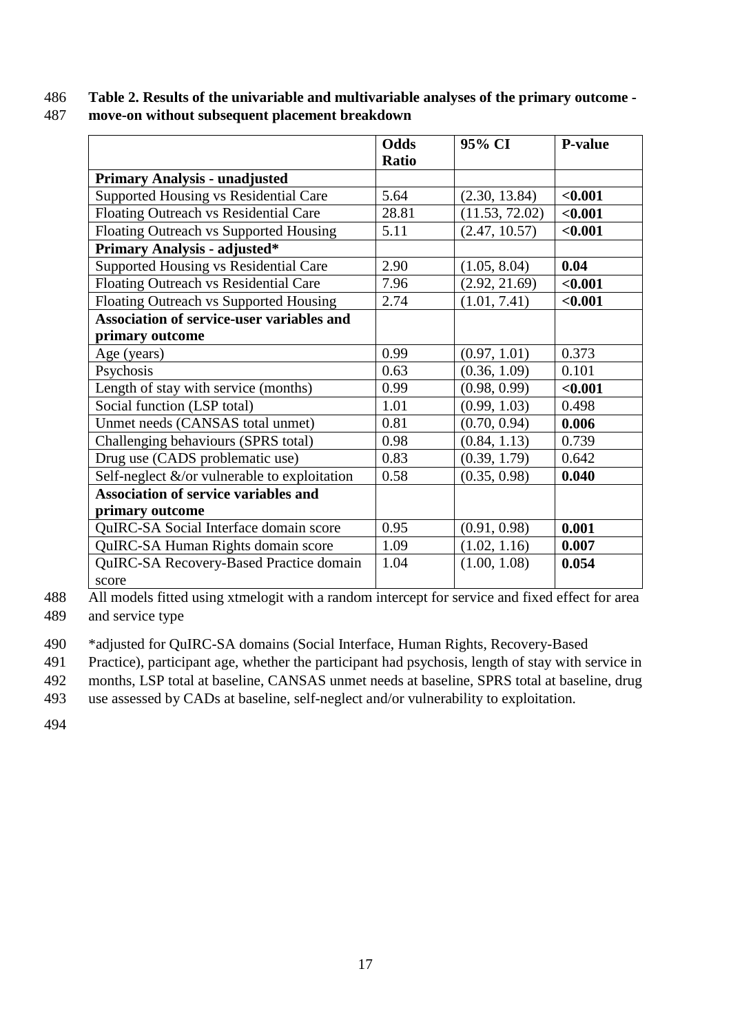# 486 **Table 2. Results of the univariable and multivariable analyses of the primary outcome -**

| 487 | move-on without subsequent placement breakdown |
|-----|------------------------------------------------|
|-----|------------------------------------------------|

|                                                  | Odds<br><b>Ratio</b> | 95% CI         | <b>P-value</b> |
|--------------------------------------------------|----------------------|----------------|----------------|
| <b>Primary Analysis - unadjusted</b>             |                      |                |                |
| Supported Housing vs Residential Care            | 5.64                 | (2.30, 13.84)  | < 0.001        |
| Floating Outreach vs Residential Care            | 28.81                | (11.53, 72.02) | < 0.001        |
| Floating Outreach vs Supported Housing           | 5.11                 | (2.47, 10.57)  | < 0.001        |
| <b>Primary Analysis - adjusted*</b>              |                      |                |                |
| Supported Housing vs Residential Care            | 2.90                 | (1.05, 8.04)   | 0.04           |
| Floating Outreach vs Residential Care            | 7.96                 | (2.92, 21.69)  | < 0.001        |
| Floating Outreach vs Supported Housing           | 2.74                 | (1.01, 7.41)   | < 0.001        |
| <b>Association of service-user variables and</b> |                      |                |                |
| primary outcome                                  |                      |                |                |
| Age (years)                                      | 0.99                 | (0.97, 1.01)   | 0.373          |
| Psychosis                                        | 0.63                 | (0.36, 1.09)   | 0.101          |
| Length of stay with service (months)             | 0.99                 | (0.98, 0.99)   | < 0.001        |
| Social function (LSP total)                      | 1.01                 | (0.99, 1.03)   | 0.498          |
| Unmet needs (CANSAS total unmet)                 | 0.81                 | (0.70, 0.94)   | 0.006          |
| Challenging behaviours (SPRS total)              | 0.98                 | (0.84, 1.13)   | 0.739          |
| Drug use (CADS problematic use)                  | 0.83                 | (0.39, 1.79)   | 0.642          |
| Self-neglect $\&$ /or vulnerable to exploitation | 0.58                 | (0.35, 0.98)   | 0.040          |
| <b>Association of service variables and</b>      |                      |                |                |
| primary outcome                                  |                      |                |                |
| QuIRC-SA Social Interface domain score           | 0.95                 | (0.91, 0.98)   | 0.001          |
| QuIRC-SA Human Rights domain score               | 1.09                 | (1.02, 1.16)   | 0.007          |
| QuIRC-SA Recovery-Based Practice domain          | 1.04                 | (1.00, 1.08)   | 0.054          |
| score                                            |                      |                |                |

488 All models fitted using xtmelogit with a random intercept for service and fixed effect for area 489 and service type

490 \*adjusted for QuIRC-SA domains (Social Interface, Human Rights, Recovery-Based

491 Practice), participant age, whether the participant had psychosis, length of stay with service in

492 months, LSP total at baseline, CANSAS unmet needs at baseline, SPRS total at baseline, drug

493 use assessed by CADs at baseline, self-neglect and/or vulnerability to exploitation.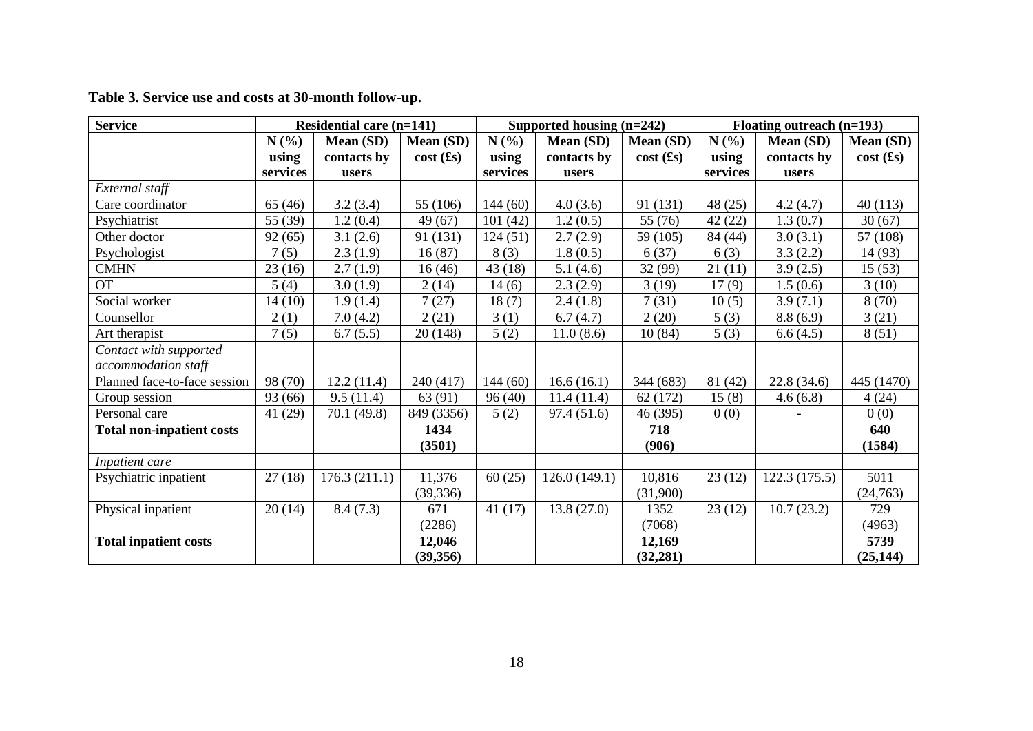|  | Table 3. Service use and costs at 30-month follow-up. |  |
|--|-------------------------------------------------------|--|
|--|-------------------------------------------------------|--|

| <b>Service</b>                   | <b>Residential care (n=141)</b> |              |             | Supported housing $(n=242)$ |              |                   | Floating outreach (n=193) |              |             |
|----------------------------------|---------------------------------|--------------|-------------|-----------------------------|--------------|-------------------|---------------------------|--------------|-------------|
|                                  | N(%)<br>Mean (SD)<br>Mean (SD)  |              | N(%)        | Mean (SD)<br>Mean (SD)      |              | N(%)<br>Mean (SD) |                           | Mean (SD)    |             |
|                                  | using                           | contacts by  | $cost$ (£s) | using                       | contacts by  | $cost$ (£s)       | using                     | contacts by  | $cost$ (£s) |
|                                  | services                        | users        |             | services                    | users        |                   | services                  | users        |             |
| External staff                   |                                 |              |             |                             |              |                   |                           |              |             |
| Care coordinator                 | 65(46)                          | 3.2(3.4)     | 55 (106)    | 144(60)                     | 4.0(3.6)     | 91 (131)          | 48(25)                    | 4.2(4.7)     | 40(113)     |
| Psychiatrist                     | 55 (39)                         | 1.2(0.4)     | 49 (67)     | 101(42)                     | 1.2(0.5)     | 55 (76)           | 42(22)                    | 1.3(0.7)     | 30(67)      |
| Other doctor                     | 92(65)                          | 3.1(2.6)     | 91 (131)    | 124(51)                     | 2.7(2.9)     | 59 (105)          | 84 (44)                   | 3.0(3.1)     | 57 (108)    |
| Psychologist                     | 7(5)                            | 2.3(1.9)     | 16(87)      | 8(3)                        | 1.8(0.5)     | 6(37)             | 6(3)                      | 3.3(2.2)     | 14 (93)     |
| <b>CMHN</b>                      | 23(16)                          | 2.7(1.9)     | 16(46)      | 43(18)                      | 5.1(4.6)     | 32 (99)           | 21(11)                    | 3.9(2.5)     | 15(53)      |
| <b>OT</b>                        | 5(4)                            | 3.0(1.9)     | 2(14)       | 14(6)                       | 2.3(2.9)     | 3(19)             | 17(9)                     | 1.5(0.6)     | 3(10)       |
| Social worker                    | 14(10)                          | 1.9(1.4)     | 7(27)       | 18(7)                       | 2.4(1.8)     | 7(31)             | 10(5)                     | 3.9(7.1)     | 8(70)       |
| Counsellor                       | 2(1)                            | 7.0(4.2)     | 2(21)       | 3(1)                        | 6.7(4.7)     | 2(20)             | 5(3)                      | 8.8(6.9)     | 3(21)       |
| Art therapist                    | 7(5)                            | 6.7(5.5)     | 20(148)     | 5(2)                        | 11.0(8.6)    | 10(84)            | 5(3)                      | 6.6(4.5)     | 8(51)       |
| Contact with supported           |                                 |              |             |                             |              |                   |                           |              |             |
| accommodation staff              |                                 |              |             |                             |              |                   |                           |              |             |
| Planned face-to-face session     | 98 (70)                         | 12.2(11.4)   | 240 (417)   | 144(60)                     | 16.6(16.1)   | 344 (683)         | 81 (42)                   | 22.8(34.6)   | 445 (1470)  |
| Group session                    | 93 (66)                         | 9.5(11.4)    | 63 (91)     | 96(40)                      | 11.4(11.4)   | 62 (172)          | 15(8)                     | 4.6(6.8)     | 4(24)       |
| Personal care                    | 41(29)                          | 70.1 (49.8)  | 849 (3356)  | 5(2)                        | 97.4 (51.6)  | 46 (395)          | 0(0)                      |              | 0(0)        |
| <b>Total non-inpatient costs</b> |                                 |              | 1434        |                             |              | 718               |                           |              | 640         |
|                                  |                                 |              | (3501)      |                             |              | (906)             |                           |              | (1584)      |
| Inpatient care                   |                                 |              |             |                             |              |                   |                           |              |             |
| Psychiatric inpatient            | 27(18)                          | 176.3(211.1) | 11,376      | 60(25)                      | 126.0(149.1) | 10,816            | 23(12)                    | 122.3(175.5) | 5011        |
|                                  |                                 |              | (39, 336)   |                             |              | (31,900)          |                           |              | (24,763)    |
| Physical inpatient               | 20(14)                          | 8.4(7.3)     | 671         | 41(17)                      | 13.8(27.0)   | 1352              | 23(12)                    | 10.7(23.2)   | 729         |
|                                  |                                 |              | (2286)      |                             |              | (7068)            |                           |              | (4963)      |
| <b>Total inpatient costs</b>     |                                 |              | 12,046      |                             |              | 12,169            |                           |              | 5739        |
|                                  |                                 |              | (39, 356)   |                             |              | (32, 281)         |                           |              | (25, 144)   |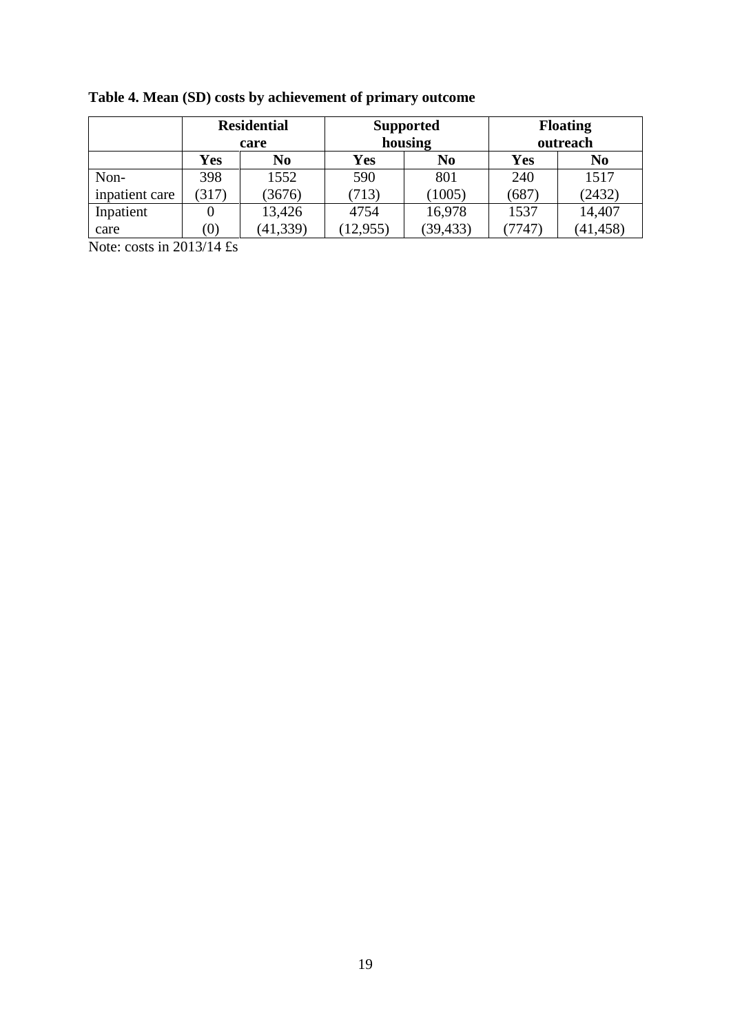|                |                  | <b>Residential</b><br>care |            | <b>Supported</b><br>housing | <b>Floating</b><br>outreach |                |  |
|----------------|------------------|----------------------------|------------|-----------------------------|-----------------------------|----------------|--|
|                | Yes              | No                         | <b>Yes</b> | N <sub>0</sub>              | Yes                         | N <sub>0</sub> |  |
| Non-           | 398              | 1552                       | 590        | 801                         | 240                         | 1517           |  |
| inpatient care | (317)            | (3676)                     | (713)      | (1005)                      | (687)                       | (2432)         |  |
| Inpatient      |                  | 13,426                     | 4754       | 16,978                      | 1537                        | 14,407         |  |
| care           | $\left(0\right)$ | (41, 339)                  | (12, 955)  | (39, 433)                   | (7747)                      | (41, 458)      |  |

**Table 4. Mean (SD) costs by achievement of primary outcome**

Note: costs in 2013/14 £s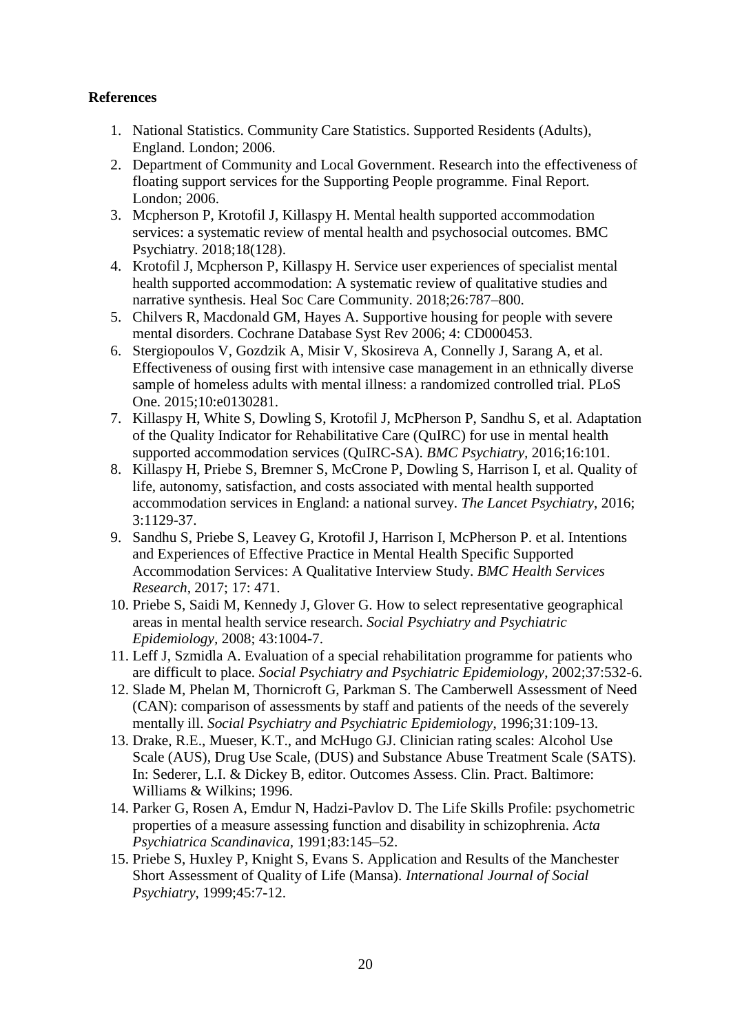## **References**

- 1. National Statistics. Community Care Statistics. Supported Residents (Adults), England. London; 2006.
- 2. Department of Community and Local Government. Research into the effectiveness of floating support services for the Supporting People programme. Final Report. London; 2006.
- 3. Mcpherson P, Krotofil J, Killaspy H. Mental health supported accommodation services: a systematic review of mental health and psychosocial outcomes. BMC Psychiatry. 2018;18(128).
- 4. Krotofil J, Mcpherson P, Killaspy H. Service user experiences of specialist mental health supported accommodation: A systematic review of qualitative studies and narrative synthesis. Heal Soc Care Community. 2018;26:787–800.
- 5. Chilvers R, Macdonald GM, Hayes A. Supportive housing for people with severe mental disorders. Cochrane Database Syst Rev 2006; 4: CD000453.
- 6. Stergiopoulos V, Gozdzik A, Misir V, Skosireva A, Connelly J, Sarang A, et al. Effectiveness of ousing first with intensive case management in an ethnically diverse sample of homeless adults with mental illness: a randomized controlled trial. PLoS One. 2015;10:e0130281.
- 7. Killaspy H, White S, Dowling S, Krotofil J, McPherson P, Sandhu S, et al. Adaptation of the Quality Indicator for Rehabilitative Care (QuIRC) for use in mental health supported accommodation services (QuIRC-SA). *BMC Psychiatry,* 2016;16:101.
- 8. Killaspy H, Priebe S, Bremner S, McCrone P, Dowling S, Harrison I, et al. Quality of life, autonomy, satisfaction, and costs associated with mental health supported accommodation services in England: a national survey. *The Lancet Psychiatry*, 2016; 3:1129-37.
- 9. Sandhu S, Priebe S, Leavey G, Krotofil J, Harrison I, McPherson P. et al. Intentions and Experiences of Effective Practice in Mental Health Specific Supported Accommodation Services: A Qualitative Interview Study. *BMC Health Services Research*, 2017; 17: 471.
- 10. Priebe S, Saidi M, Kennedy J, Glover G. How to select representative geographical areas in mental health service research. *Social Psychiatry and Psychiatric Epidemiology,* 2008; 43:1004-7.
- 11. Leff J, Szmidla A. Evaluation of a special rehabilitation programme for patients who are difficult to place. *Social Psychiatry and Psychiatric Epidemiology*, 2002;37:532-6.
- 12. Slade M, Phelan M, Thornicroft G, Parkman S. The Camberwell Assessment of Need (CAN): comparison of assessments by staff and patients of the needs of the severely mentally ill. *Social Psychiatry and Psychiatric Epidemiology*, 1996;31:109-13.
- 13. Drake, R.E., Mueser, K.T., and McHugo GJ. Clinician rating scales: Alcohol Use Scale (AUS), Drug Use Scale, (DUS) and Substance Abuse Treatment Scale (SATS). In: Sederer, L.I. & Dickey B, editor. Outcomes Assess. Clin. Pract. Baltimore: Williams & Wilkins; 1996.
- 14. Parker G, Rosen A, Emdur N, Hadzi-Pavlov D. The Life Skills Profile: psychometric properties of a measure assessing function and disability in schizophrenia. *Acta Psychiatrica Scandinavica,* 1991;83:145–52.
- 15. Priebe S, Huxley P, Knight S, Evans S. Application and Results of the Manchester Short Assessment of Quality of Life (Mansa). *International Journal of Social Psychiatry*, 1999;45:7-12.